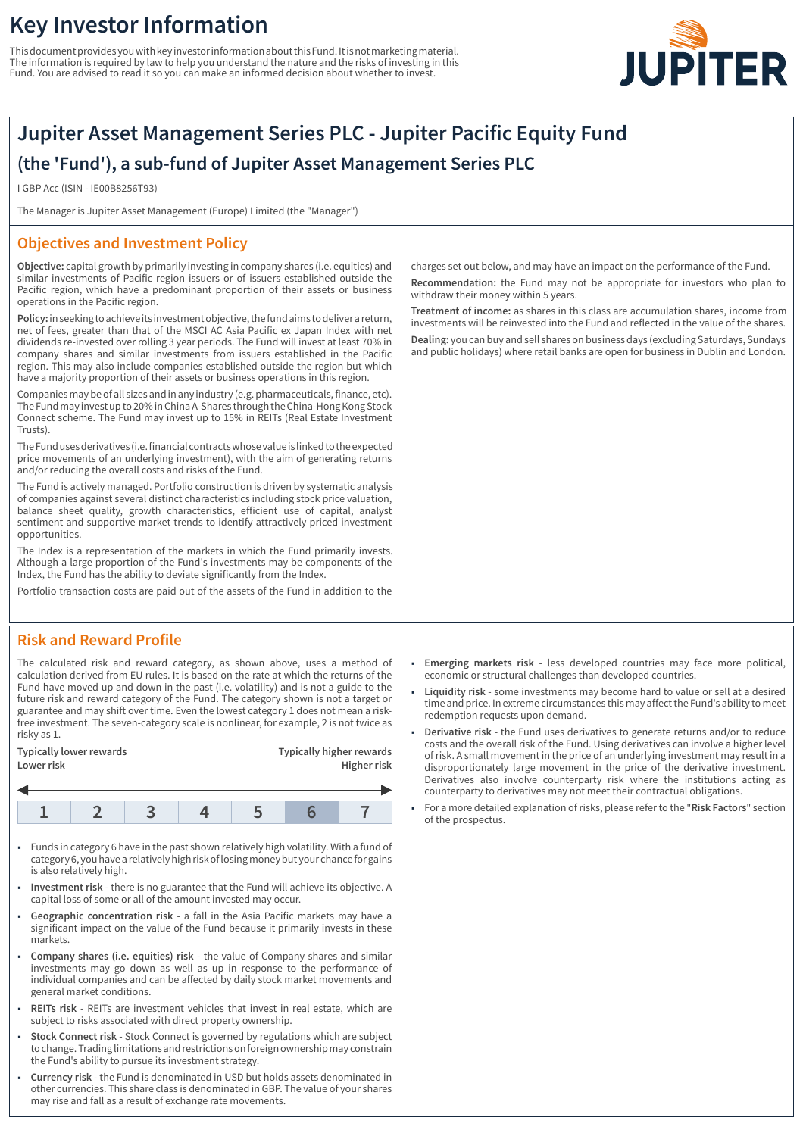# **Key Investor Information**

This document provides you with key investor information about this Fund. It is not marketing material. The information is required by law to help you understand the nature and the risks of investing in this Fund. You are advised to read it so you can make an informed decision about whether to invest.



# **Jupiter Asset Management Series PLC - Jupiter Pacific Equity Fund (the 'Fund'), a sub-fund of Jupiter Asset Management Series PLC**

I GBP Acc (ISIN - IE00B8256T93)

The Manager is Jupiter Asset Management (Europe) Limited (the "Manager")

## **Objectives and Investment Policy**

**Objective:** capital growth by primarily investing in company shares (i.e. equities) and similar investments of Pacific region issuers or of issuers established outside the Pacific region, which have a predominant proportion of their assets or business operations in the Pacific region.

**Policy:** in seeking to achieve its investment objective, the fund aims to deliver a return, net of fees, greater than that of the MSCI AC Asia Pacific ex Japan Index with net dividends re-invested over rolling 3 year periods. The Fund will invest at least 70% in company shares and similar investments from issuers established in the Pacific region. This may also include companies established outside the region but which have a majority proportion of their assets or business operations in this region.

Companies may be of all sizes and in any industry (e.g. pharmaceuticals, finance, etc). The Fund may invest up to 20% in China A-Shares through the China-Hong Kong Stock Connect scheme. The Fund may invest up to 15% in REITs (Real Estate Investment Trusts).

The Fund uses derivatives (i.e. financial contracts whose value is linked to the expected price movements of an underlying investment), with the aim of generating returns and/or reducing the overall costs and risks of the Fund.

The Fund is actively managed. Portfolio construction is driven by systematic analysis of companies against several distinct characteristics including stock price valuation, balance sheet quality, growth characteristics, efficient use of capital, analyst sentiment and supportive market trends to identify attractively priced investment opportunities.

The Index is a representation of the markets in which the Fund primarily invests. Although a large proportion of the Fund's investments may be components of the Index, the Fund has the ability to deviate significantly from the Index.

Portfolio transaction costs are paid out of the assets of the Fund in addition to the

charges set out below, and may have an impact on the performance of the Fund. **Recommendation:** the Fund may not be appropriate for investors who plan to withdraw their money within 5 years.

**Treatment of income:** as shares in this class are accumulation shares, income from investments will be reinvested into the Fund and reflected in the value of the shares. **Dealing:** you can buy and sell shares on business days (excluding Saturdays, Sundays and public holidays) where retail banks are open for business in Dublin and London.

- 1 **Emerging markets risk** less developed countries may face more political, economic or structural challenges than developed countries.
- 1 **Liquidity risk** some investments may become hard to value or sell at a desired time and price. In extreme circumstances this may affect the Fund's ability to meet redemption requests upon demand.
- 1 **Derivative risk** the Fund uses derivatives to generate returns and/or to reduce costs and the overall risk of the Fund. Using derivatives can involve a higher level of risk. A small movement in the price of an underlying investment may result in a disproportionately large movement in the price of the derivative investment. Derivatives also involve counterparty risk where the institutions acting as counterparty to derivatives may not meet their contractual obligations.
- 1 For a more detailed explanation of risks, please refer to the "**Risk Factors**" section of the prospectus.

### **Risk and Reward Profile**

The calculated risk and reward category, as shown above, uses a method of calculation derived from EU rules. It is based on the rate at which the returns of the Fund have moved up and down in the past (i.e. volatility) and is not a guide to the future risk and reward category of the Fund. The category shown is not a target or guarantee and may shift over time. Even the lowest category 1 does not mean a riskfree investment. The seven-category scale is nonlinear, for example, 2 is not twice as risky as 1.

| Typically lower rewards | <b>Typically higher rewards</b> |
|-------------------------|---------------------------------|
| Lower risk              | Higher risk                     |
|                         |                                 |

| $\overline{\phantom{a}}$ | $-2$ |  |  |
|--------------------------|------|--|--|
|                          |      |  |  |

- 1 Funds in category 6 have in the past shown relatively high volatility. With a fund of category 6, you have a relatively high risk of losing money but your chance for gains is also relatively high.
- 1 **Investment risk** there is no guarantee that the Fund will achieve its objective. A capital loss of some or all of the amount invested may occur.
- 1 **Geographic concentration risk** a fall in the Asia Pacific markets may have a significant impact on the value of the Fund because it primarily invests in these markets.
- 1 **Company shares (i.e. equities) risk** the value of Company shares and similar investments may go down as well as up in response to the performance of individual companies and can be affected by daily stock market movements and general market conditions.
- 1 **REITs risk** REITs are investment vehicles that invest in real estate, which are subject to risks associated with direct property ownership.
- 1 **Stock Connect risk** Stock Connect is governed by regulations which are subject to change. Trading limitations and restrictions on foreign ownership may constrain the Fund's ability to pursue its investment strategy.
- 1 **Currency risk** the Fund is denominated in USD but holds assets denominated in other currencies. This share class is denominated in GBP. The value of your shares may rise and fall as a result of exchange rate movements.